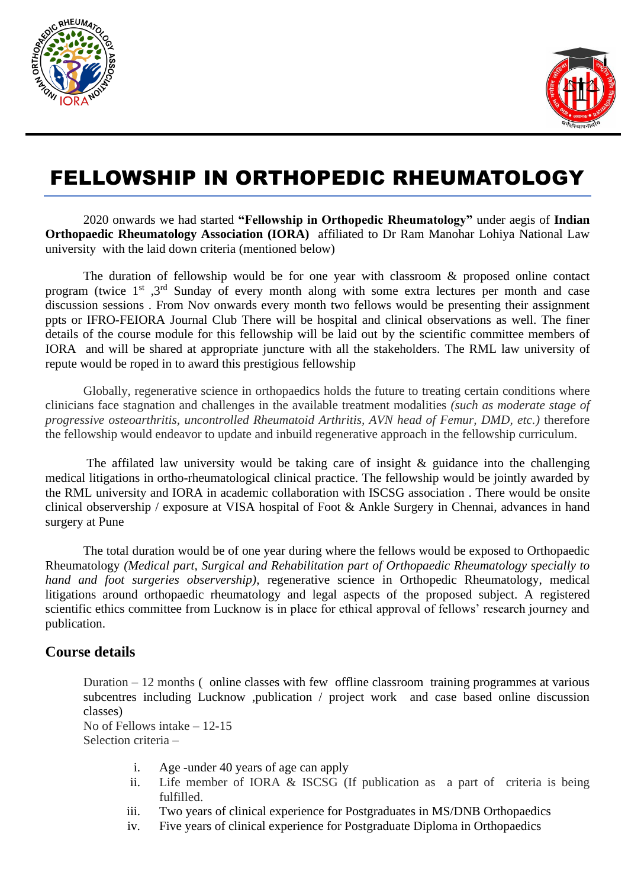



# FELLOWSHIP IN ORTHOPEDIC RHEUMATOLOGY

2020 onwards we had started **"Fellowship in Orthopedic Rheumatology"** under aegis of **Indian Orthopaedic Rheumatology Association (IORA)** affiliated to Dr Ram Manohar Lohiya National Law university with the laid down criteria (mentioned below)

The duration of fellowship would be for one year with classroom & proposed online contact program (twice 1<sup>st</sup>, 3<sup>rd</sup> Sunday of every month along with some extra lectures per month and case discussion sessions . From Nov onwards every month two fellows would be presenting their assignment ppts or IFRO-FEIORA Journal Club There will be hospital and clinical observations as well. The finer details of the course module for this fellowship will be laid out by the scientific committee members of IORA and will be shared at appropriate juncture with all the stakeholders. The RML law university of repute would be roped in to award this prestigious fellowship

Globally, regenerative science in orthopaedics holds the future to treating certain conditions where clinicians face stagnation and challenges in the available treatment modalities *(such as moderate stage of progressive osteoarthritis, uncontrolled Rheumatoid Arthritis, AVN head of Femur, DMD, etc.)* therefore the fellowship would endeavor to update and inbuild regenerative approach in the fellowship curriculum.

The affilated law university would be taking care of insight  $\&$  guidance into the challenging medical litigations in ortho-rheumatological clinical practice. The fellowship would be jointly awarded by the RML university and IORA in academic collaboration with ISCSG association . There would be onsite clinical observership / exposure at VISA hospital of Foot & Ankle Surgery in Chennai, advances in hand surgery at Pune

The total duration would be of one year during where the fellows would be exposed to Orthopaedic Rheumatology *(Medical part, Surgical and Rehabilitation part of Orthopaedic Rheumatology specially to hand and foot surgeries observership)*, regenerative science in Orthopedic Rheumatology, medical litigations around orthopaedic rheumatology and legal aspects of the proposed subject. A registered scientific ethics committee from Lucknow is in place for ethical approval of fellows' research journey and publication.

## **Course details**

Duration – 12 months ( online classes with few offline classroom training programmes at various subcentres including Lucknow ,publication / project work and case based online discussion classes)

No of Fellows intake – 12-15 Selection criteria –

- i. Age -under 40 years of age can apply
- ii. Life member of IORA & ISCSG (If publication as a part of criteria is being fulfilled.
- iii. Two years of clinical experience for Postgraduates in MS/DNB Orthopaedics
- iv. Five years of clinical experience for Postgraduate Diploma in Orthopaedics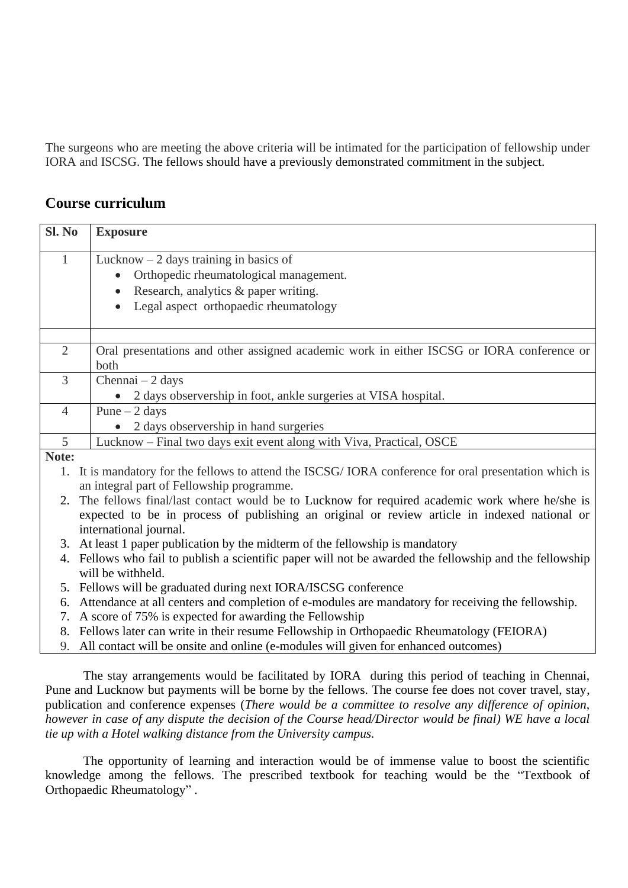The surgeons who are meeting the above criteria will be intimated for the participation of fellowship under IORA and ISCSG. The fellows should have a previously demonstrated commitment in the subject.

## **Course curriculum**

| Sl. No         | <b>Exposure</b>                                                                                    |
|----------------|----------------------------------------------------------------------------------------------------|
| 1              | Lucknow $-2$ days training in basics of                                                            |
|                | Orthopedic rheumatological management.                                                             |
|                | Research, analytics & paper writing.                                                               |
|                | Legal aspect orthopaedic rheumatology                                                              |
|                |                                                                                                    |
| $\overline{2}$ | Oral presentations and other assigned academic work in either ISCSG or IORA conference or          |
|                | both                                                                                               |
| 3              | Chennai $-2$ days                                                                                  |
|                | 2 days observership in foot, ankle surgeries at VISA hospital.                                     |
| $\overline{4}$ | Pune $-2$ days                                                                                     |
|                | 2 days observership in hand surgeries                                                              |
| 5              | Lucknow – Final two days exit event along with Viva, Practical, OSCE                               |
| Note:          |                                                                                                    |
| 1.             | It is mandatory for the fellows to attend the ISCSG/IORA conference for oral presentation which is |
|                | an integral part of Fellowship programme.                                                          |
|                | The fellows final/last contact would be to Lucknow for required academic work where he/she is      |

- expected to be in process of publishing an original or review article in indexed national or international journal.
- 3. At least 1 paper publication by the midterm of the fellowship is mandatory
- 4. Fellows who fail to publish a scientific paper will not be awarded the fellowship and the fellowship will be withheld.
- 5. Fellows will be graduated during next IORA/ISCSG conference
- 6. Attendance at all centers and completion of e-modules are mandatory for receiving the fellowship.
- 7. A score of 75% is expected for awarding the Fellowship
- 8. Fellows later can write in their resume Fellowship in Orthopaedic Rheumatology (FEIORA)
- 9. All contact will be onsite and online (e-modules will given for enhanced outcomes)

The stay arrangements would be facilitated by IORA during this period of teaching in Chennai, Pune and Lucknow but payments will be borne by the fellows. The course fee does not cover travel, stay, publication and conference expenses (*There would be a committee to resolve any difference of opinion, however in case of any dispute the decision of the Course head/Director would be final) WE have a local tie up with a Hotel walking distance from the University campus.*

The opportunity of learning and interaction would be of immense value to boost the scientific knowledge among the fellows. The prescribed textbook for teaching would be the "Textbook of Orthopaedic Rheumatology" .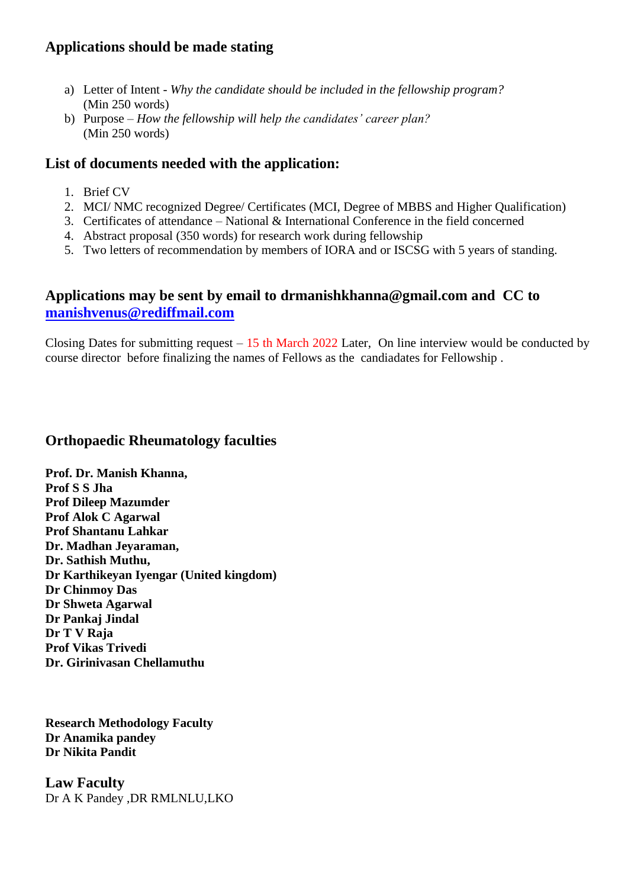# **Applications should be made stating**

- a) Letter of Intent *Why the candidate should be included in the fellowship program?* (Min 250 words)
- b) Purpose *How the fellowship will help the candidates' career plan?* (Min 250 words)

# **List of documents needed with the application:**

- 1. Brief CV
- 2. MCI/ NMC recognized Degree/ Certificates (MCI, Degree of MBBS and Higher Qualification)
- 3. Certificates of attendance National & International Conference in the field concerned
- 4. Abstract proposal (350 words) for research work during fellowship
- 5. Two letters of recommendation by members of IORA and or ISCSG with 5 years of standing.

# **Applications may be sent by email to drmanishkhanna@gmail.com and CC to [manishvenus@rediffmail.com](mailto:manishvenus@rediffmail.com)**

Closing Dates for submitting request  $-15$  th March 2022 Later, On line interview would be conducted by course director before finalizing the names of Fellows as the candiadates for Fellowship .

## **Orthopaedic Rheumatology faculties**

**Prof. Dr. Manish Khanna, Prof S S Jha Prof Dileep Mazumder Prof Alok C Agarwal Prof Shantanu Lahkar Dr. Madhan Jeyaraman, Dr. Sathish Muthu, Dr Karthikeyan Iyengar (United kingdom) Dr Chinmoy Das Dr Shweta Agarwal Dr Pankaj Jindal Dr T V Raja Prof Vikas Trivedi Dr. Girinivasan Chellamuthu** 

**Research Methodology Faculty Dr Anamika pandey Dr Nikita Pandit**

**Law Faculty** Dr A K Pandey ,DR RMLNLU,LKO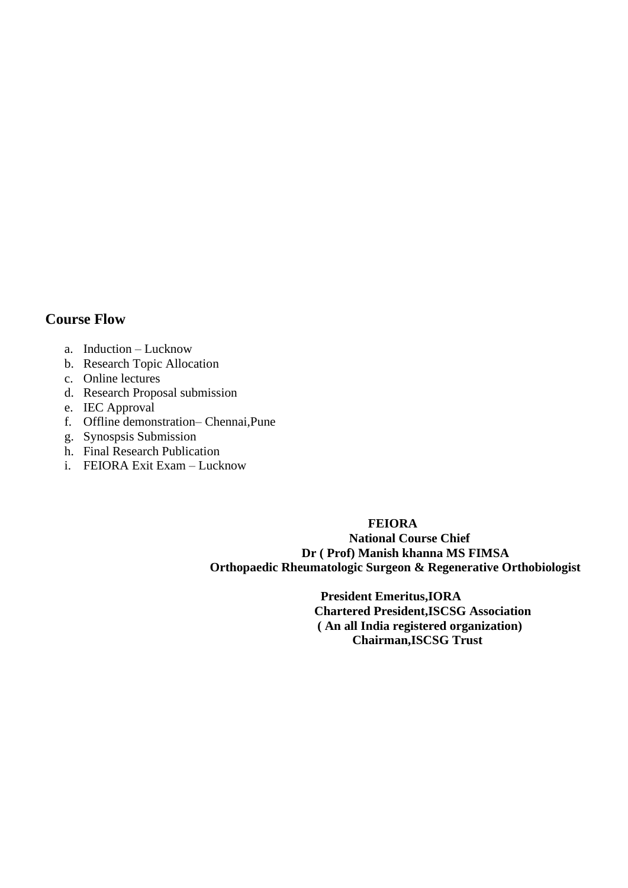# **Course Flow**

- a. Induction Lucknow
- b. Research Topic Allocation
- c. Online lectures
- d. Research Proposal submission
- e. IEC Approval
- f. Offline demonstration– Chennai,Pune
- g. Synospsis Submission
- h. Final Research Publication
- i. FEIORA Exit Exam Lucknow

#### **FEIORA**

 **National Course Chief Dr ( Prof) Manish khanna MS FIMSA Orthopaedic Rheumatologic Surgeon & Regenerative Orthobiologist** 

> **President Emeritus,IORA Chartered President,ISCSG Association ( An all India registered organization) Chairman,ISCSG Trust**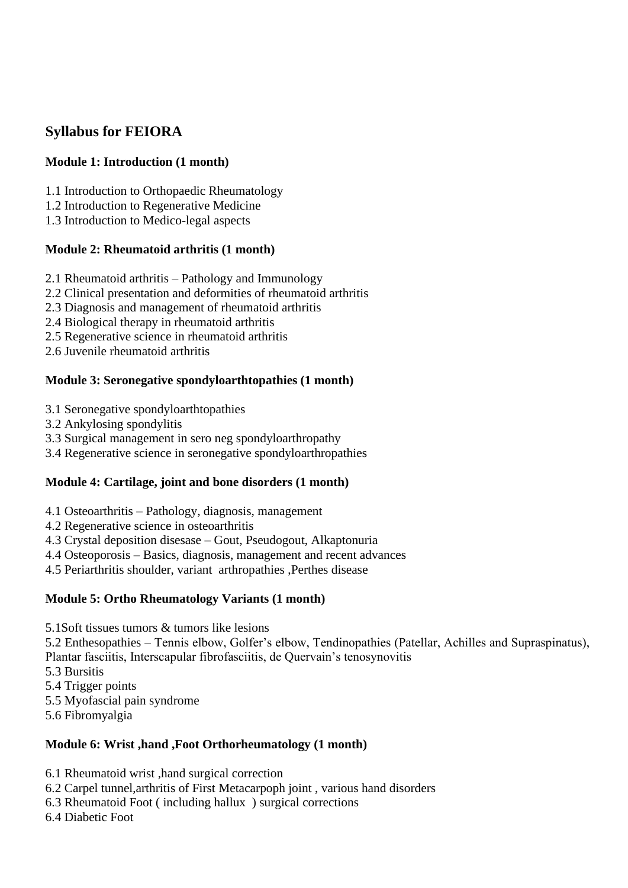# **Syllabus for FEIORA**

## **Module 1: Introduction (1 month)**

- 1.1 Introduction to Orthopaedic Rheumatology
- 1.2 Introduction to Regenerative Medicine
- 1.3 Introduction to Medico-legal aspects

#### **Module 2: Rheumatoid arthritis (1 month)**

- 2.1 Rheumatoid arthritis Pathology and Immunology
- 2.2 Clinical presentation and deformities of rheumatoid arthritis
- 2.3 Diagnosis and management of rheumatoid arthritis
- 2.4 Biological therapy in rheumatoid arthritis
- 2.5 Regenerative science in rheumatoid arthritis
- 2.6 Juvenile rheumatoid arthritis

#### **Module 3: Seronegative spondyloarthtopathies (1 month)**

- 3.1 Seronegative spondyloarthtopathies
- 3.2 Ankylosing spondylitis
- 3.3 Surgical management in sero neg spondyloarthropathy
- 3.4 Regenerative science in seronegative spondyloarthropathies

## **Module 4: Cartilage, joint and bone disorders (1 month)**

- 4.1 Osteoarthritis Pathology, diagnosis, management
- 4.2 Regenerative science in osteoarthritis
- 4.3 Crystal deposition disesase Gout, Pseudogout, Alkaptonuria
- 4.4 Osteoporosis Basics, diagnosis, management and recent advances
- 4.5 Periarthritis shoulder, variant arthropathies ,Perthes disease

#### **Module 5: Ortho Rheumatology Variants (1 month)**

- 5.1Soft tissues tumors & tumors like lesions
- 5.2 Enthesopathies Tennis elbow, Golfer's elbow, Tendinopathies (Patellar, Achilles and Supraspinatus),
- Plantar fasciitis, Interscapular fibrofasciitis, de Quervain's tenosynovitis
- 5.3 Bursitis
- 5.4 Trigger points
- 5.5 Myofascial pain syndrome
- 5.6 Fibromyalgia

#### **Module 6: Wrist ,hand ,Foot Orthorheumatology (1 month)**

- 6.1 Rheumatoid wrist ,hand surgical correction
- 6.2 Carpel tunnel,arthritis of First Metacarpoph joint , various hand disorders
- 6.3 Rheumatoid Foot ( including hallux ) surgical corrections
- 6.4 Diabetic Foot